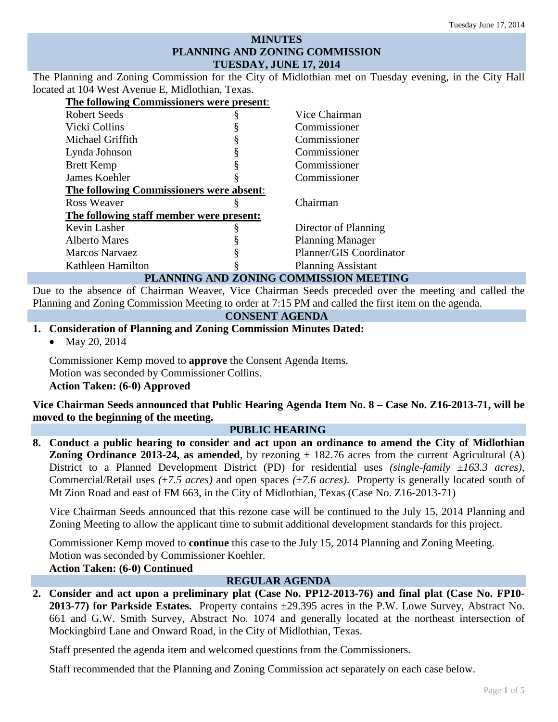## **MINUTES PLANNING AND ZONING COMMISSION TUESDAY, JUNE 17, 2014**

The Planning and Zoning Commission for the City of Midlothian met on Tuesday evening, in the City Hall located at 104 West Avenue E, Midlothian, Texas.

| The following Commissioners were present: |   |                           |
|-------------------------------------------|---|---------------------------|
| Robert Seeds                              |   | Vice Chairman             |
| Vicki Collins                             |   | Commissioner              |
| Michael Griffith                          |   | Commissioner              |
| Lynda Johnson                             |   | Commissioner              |
| <b>Brett Kemp</b>                         |   | Commissioner              |
| James Koehler                             |   | Commissioner              |
| The following Commissioners were absent:  |   |                           |
| Ross Weaver                               |   | Chairman                  |
| The following staff member were present:  |   |                           |
| Kevin Lasher                              | 8 | Director of Planning      |
| <b>Alberto Mares</b>                      |   | <b>Planning Manager</b>   |
| <b>Marcos Narvaez</b>                     |   | Planner/GIS Coordinator   |
| Kathleen Hamilton                         |   | <b>Planning Assistant</b> |
| MUING AND ZONING COMMICCION MEETING<br>nт |   |                           |

## **PLANNING AND ZONING COMMISSION MEETING**

Due to the absence of Chairman Weaver, Vice Chairman Seeds preceded over the meeting and called the Planning and Zoning Commission Meeting to order at 7:15 PM and called the first item on the agenda.

### **CONSENT AGENDA**

### **1. Consideration of Planning and Zoning Commission Minutes Dated:**

• May 20, 2014

Commissioner Kemp moved to **approve** the Consent Agenda Items. Motion was seconded by Commissioner Collins. **Action Taken: (6-0) Approved**

**Vice Chairman Seeds announced that Public Hearing Agenda Item No. 8 – Case No. Z16-2013-71, will be moved to the beginning of the meeting.**

#### **PUBLIC HEARING**

**8. Conduct a public hearing to consider and act upon an ordinance to amend the City of Midlothian Zoning Ordinance 2013-24, as amended**, by rezoning  $\pm$  182.76 acres from the current Agricultural (A) District to a Planned Development District (PD) for residential uses *(single-family* ±*163.3 acres),*  Commercial/Retail uses *(*±*7.5 acres)* and open spaces *(*±*7.6 acres)*. Property is generally located south of Mt Zion Road and east of FM 663, in the City of Midlothian, Texas (Case No. Z16-2013-71)

Vice Chairman Seeds announced that this rezone case will be continued to the July 15, 2014 Planning and Zoning Meeting to allow the applicant time to submit additional development standards for this project.

Commissioner Kemp moved to **continue** this case to the July 15, 2014 Planning and Zoning Meeting. Motion was seconded by Commissioner Koehler.

# **Action Taken: (6-0) Continued**

### **REGULAR AGENDA**

**2. Consider and act upon a preliminary plat (Case No. PP12-2013-76) and final plat (Case No. FP10- 2013-77) for Parkside Estates.** Property contains ±29.395 acres in the P.W. Lowe Survey, Abstract No. 661 and G.W. Smith Survey, Abstract No. 1074 and generally located at the northeast intersection of Mockingbird Lane and Onward Road, in the City of Midlothian, Texas.

Staff presented the agenda item and welcomed questions from the Commissioners.

Staff recommended that the Planning and Zoning Commission act separately on each case below.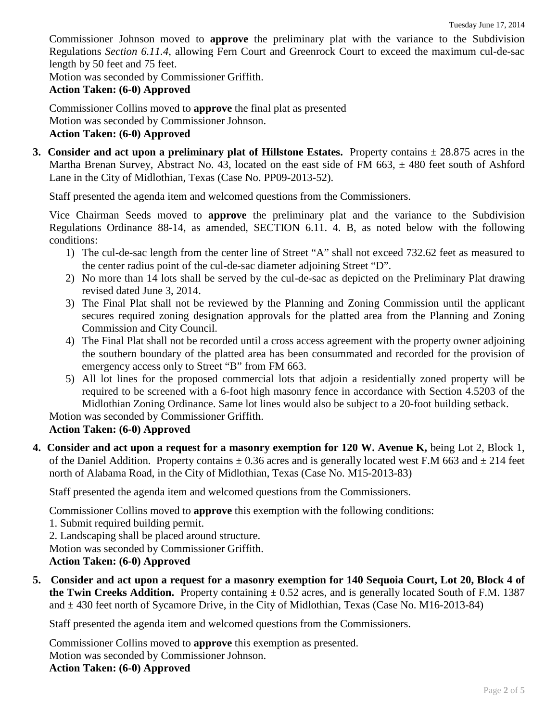Commissioner Johnson moved to **approve** the preliminary plat with the variance to the Subdivision Regulations *Section 6.11.4*, allowing Fern Court and Greenrock Court to exceed the maximum cul-de-sac length by 50 feet and 75 feet.

Motion was seconded by Commissioner Griffith.

#### **Action Taken: (6-0) Approved**

Commissioner Collins moved to **approve** the final plat as presented Motion was seconded by Commissioner Johnson. **Action Taken: (6-0) Approved**

**3.** Consider and act upon a preliminary plat of Hillstone Estates. Property contains  $\pm 28.875$  acres in the Martha Brenan Survey, Abstract No. 43, located on the east side of FM 663,  $\pm$  480 feet south of Ashford Lane in the City of Midlothian, Texas (Case No. PP09-2013-52).

Staff presented the agenda item and welcomed questions from the Commissioners.

Vice Chairman Seeds moved to **approve** the preliminary plat and the variance to the Subdivision Regulations Ordinance 88-14, as amended, SECTION 6.11. 4. B, as noted below with the following conditions:

- 1) The cul-de-sac length from the center line of Street "A" shall not exceed 732.62 feet as measured to the center radius point of the cul-de-sac diameter adjoining Street "D".
- 2) No more than 14 lots shall be served by the cul-de-sac as depicted on the Preliminary Plat drawing revised dated June 3, 2014.
- 3) The Final Plat shall not be reviewed by the Planning and Zoning Commission until the applicant secures required zoning designation approvals for the platted area from the Planning and Zoning Commission and City Council.
- 4) The Final Plat shall not be recorded until a cross access agreement with the property owner adjoining the southern boundary of the platted area has been consummated and recorded for the provision of emergency access only to Street "B" from FM 663.
- 5) All lot lines for the proposed commercial lots that adjoin a residentially zoned property will be required to be screened with a 6-foot high masonry fence in accordance with Section 4.5203 of the Midlothian Zoning Ordinance. Same lot lines would also be subject to a 20-foot building setback.

Motion was seconded by Commissioner Griffith.

# **Action Taken: (6-0) Approved**

**4. Consider and act upon a request for a masonry exemption for 120 W. Avenue K,** being Lot 2, Block 1, of the Daniel Addition. Property contains  $\pm$  0.36 acres and is generally located west F.M 663 and  $\pm$  214 feet north of Alabama Road, in the City of Midlothian, Texas (Case No. M15-2013-83)

Staff presented the agenda item and welcomed questions from the Commissioners.

Commissioner Collins moved to **approve** this exemption with the following conditions:

1. Submit required building permit.

2. Landscaping shall be placed around structure.

Motion was seconded by Commissioner Griffith.

### **Action Taken: (6-0) Approved**

**5. Consider and act upon a request for a masonry exemption for 140 Sequoia Court, Lot 20, Block 4 of the Twin Creeks Addition.** Property containing  $\pm$  0.52 acres, and is generally located South of F.M. 1387 and  $\pm$  430 feet north of Sycamore Drive, in the City of Midlothian, Texas (Case No. M16-2013-84)

Staff presented the agenda item and welcomed questions from the Commissioners.

Commissioner Collins moved to **approve** this exemption as presented. Motion was seconded by Commissioner Johnson. **Action Taken: (6-0) Approved**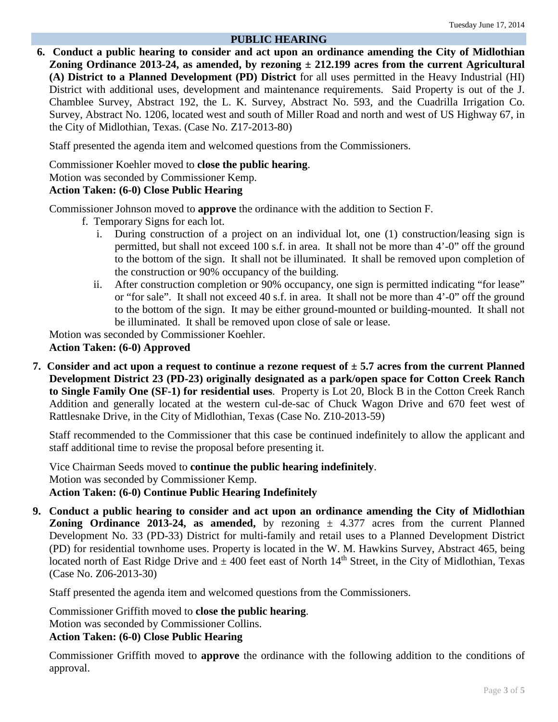### **PUBLIC HEARING**

**6. Conduct a public hearing to consider and act upon an ordinance amending the City of Midlothian Zoning Ordinance 2013-24, as amended, by rezoning ± 212.199 acres from the current Agricultural (A) District to a Planned Development (PD) District** for all uses permitted in the Heavy Industrial (HI) District with additional uses, development and maintenance requirements. Said Property is out of the J. Chamblee Survey, Abstract 192, the L. K. Survey, Abstract No. 593, and the Cuadrilla Irrigation Co. Survey, Abstract No. 1206, located west and south of Miller Road and north and west of US Highway 67, in the City of Midlothian, Texas. (Case No. Z17-2013-80)

Staff presented the agenda item and welcomed questions from the Commissioners.

Commissioner Koehler moved to **close the public hearing**.

Motion was seconded by Commissioner Kemp.

## **Action Taken: (6-0) Close Public Hearing**

Commissioner Johnson moved to **approve** the ordinance with the addition to Section F.

- f. Temporary Signs for each lot.
	- i. During construction of a project on an individual lot, one (1) construction/leasing sign is permitted, but shall not exceed 100 s.f. in area. It shall not be more than 4'-0" off the ground to the bottom of the sign. It shall not be illuminated. It shall be removed upon completion of the construction or 90% occupancy of the building.
	- ii. After construction completion or 90% occupancy, one sign is permitted indicating "for lease" or "for sale". It shall not exceed 40 s.f. in area. It shall not be more than 4'-0" off the ground to the bottom of the sign. It may be either ground-mounted or building-mounted. It shall not be illuminated. It shall be removed upon close of sale or lease.

Motion was seconded by Commissioner Koehler.

**Action Taken: (6-0) Approved**

**7. Consider and act upon a request to continue a rezone request of ± 5.7 acres from the current Planned Development District 23 (PD-23) originally designated as a park/open space for Cotton Creek Ranch to Single Family One (SF-1) for residential uses**. Property is Lot 20, Block B in the Cotton Creek Ranch Addition and generally located at the western cul-de-sac of Chuck Wagon Drive and 670 feet west of Rattlesnake Drive, in the City of Midlothian, Texas (Case No. Z10-2013-59)

Staff recommended to the Commissioner that this case be continued indefinitely to allow the applicant and staff additional time to revise the proposal before presenting it.

Vice Chairman Seeds moved to **continue the public hearing indefinitely**. Motion was seconded by Commissioner Kemp. **Action Taken: (6-0) Continue Public Hearing Indefinitely**

**9. Conduct a public hearing to consider and act upon an ordinance amending the City of Midlothian Zoning Ordinance 2013-24, as amended,** by rezoning  $\pm$  4.377 acres from the current Planned Development No. 33 (PD-33) District for multi-family and retail uses to a Planned Development District (PD) for residential townhome uses. Property is located in the W. M. Hawkins Survey, Abstract 465, being located north of East Ridge Drive and  $\pm$  400 feet east of North 14<sup>th</sup> Street, in the City of Midlothian, Texas (Case No. Z06-2013-30)

Staff presented the agenda item and welcomed questions from the Commissioners.

Commissioner Griffith moved to **close the public hearing**.

Motion was seconded by Commissioner Collins.

**Action Taken: (6-0) Close Public Hearing**

Commissioner Griffith moved to **approve** the ordinance with the following addition to the conditions of approval.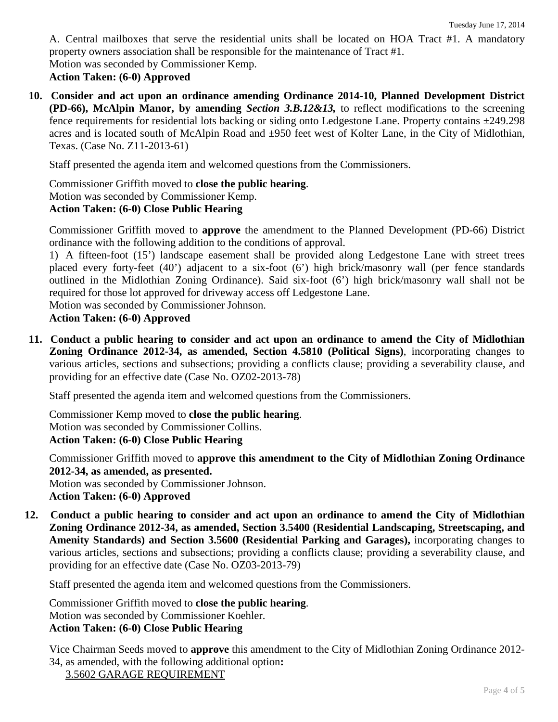A. Central mailboxes that serve the residential units shall be located on HOA Tract #1. A mandatory property owners association shall be responsible for the maintenance of Tract #1. Motion was seconded by Commissioner Kemp.

# **Action Taken: (6-0) Approved**

**10. Consider and act upon an ordinance amending Ordinance 2014-10, Planned Development District (PD-66), McAlpin Manor, by amending** *Section 3.B.12&13,* to reflect modifications to the screening fence requirements for residential lots backing or siding onto Ledgestone Lane. Property contains ±249.298 acres and is located south of McAlpin Road and ±950 feet west of Kolter Lane, in the City of Midlothian, Texas. (Case No. Z11-2013-61)

Staff presented the agenda item and welcomed questions from the Commissioners.

Commissioner Griffith moved to **close the public hearing**. Motion was seconded by Commissioner Kemp. **Action Taken: (6-0) Close Public Hearing**

Commissioner Griffith moved to **approve** the amendment to the Planned Development (PD-66) District ordinance with the following addition to the conditions of approval.

1) A fifteen-foot (15') landscape easement shall be provided along Ledgestone Lane with street trees placed every forty-feet (40') adjacent to a six-foot (6') high brick/masonry wall (per fence standards outlined in the Midlothian Zoning Ordinance). Said six-foot (6') high brick/masonry wall shall not be required for those lot approved for driveway access off Ledgestone Lane.

Motion was seconded by Commissioner Johnson.

# **Action Taken: (6-0) Approved**

**11. Conduct a public hearing to consider and act upon an ordinance to amend the City of Midlothian Zoning Ordinance 2012-34, as amended, Section 4.5810 (Political Signs)**, incorporating changes to various articles, sections and subsections; providing a conflicts clause; providing a severability clause, and providing for an effective date (Case No. OZ02-2013-78)

Staff presented the agenda item and welcomed questions from the Commissioners.

Commissioner Kemp moved to **close the public hearing**. Motion was seconded by Commissioner Collins. **Action Taken: (6-0) Close Public Hearing**

Commissioner Griffith moved to **approve this amendment to the City of Midlothian Zoning Ordinance 2012-34, as amended, as presented.**

Motion was seconded by Commissioner Johnson.

**Action Taken: (6-0) Approved**

**12. Conduct a public hearing to consider and act upon an ordinance to amend the City of Midlothian Zoning Ordinance 2012-34, as amended, Section 3.5400 (Residential Landscaping, Streetscaping, and Amenity Standards) and Section 3.5600 (Residential Parking and Garages),** incorporating changes to various articles, sections and subsections; providing a conflicts clause; providing a severability clause, and providing for an effective date (Case No. OZ03-2013-79)

Staff presented the agenda item and welcomed questions from the Commissioners.

Commissioner Griffith moved to **close the public hearing**. Motion was seconded by Commissioner Koehler. **Action Taken: (6-0) Close Public Hearing**

Vice Chairman Seeds moved to **approve** this amendment to the City of Midlothian Zoning Ordinance 2012- 34, as amended, with the following additional option**:**

3.5602 GARAGE REQUIREMENT